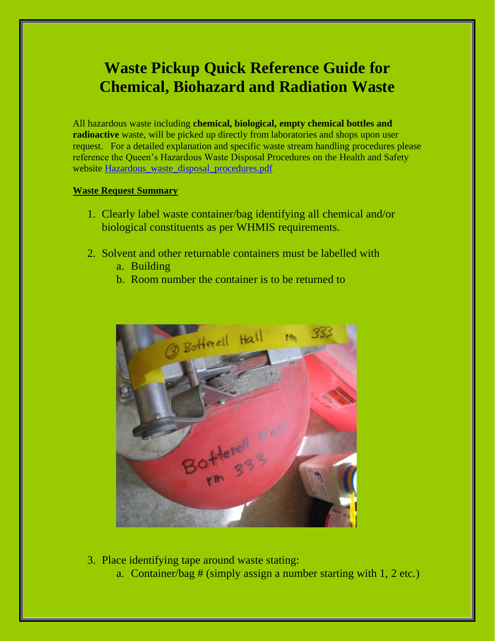## **Waste Pickup Quick Reference Guide for Chemical, Biohazard and Radiation Waste**

All hazardous waste including **chemical, biological, empty chemical bottles and radioactive** waste, will be picked up directly from laboratories and shops upon user request. For a detailed explanation and specific waste stream handling procedures please reference the Queen's Hazardous Waste Disposal Procedures on the Health and Safety website [Hazardous\\_waste\\_disposal\\_procedures.pdf](https://safety.queensu.ca/sites/webpublish.queensu.ca.ehswww/files/files/Policies%20and%20SOP)

## **Waste Request Summary**

- 1. Clearly label waste container/bag identifying all chemical and/or biological constituents as per WHMIS requirements.
- 2. Solvent and other returnable containers must be labelled with
	- a. Building
	- b. Room number the container is to be returned to



- 3. Place identifying tape around waste stating:
	- a. Container/bag # (simply assign a number starting with 1, 2 etc.)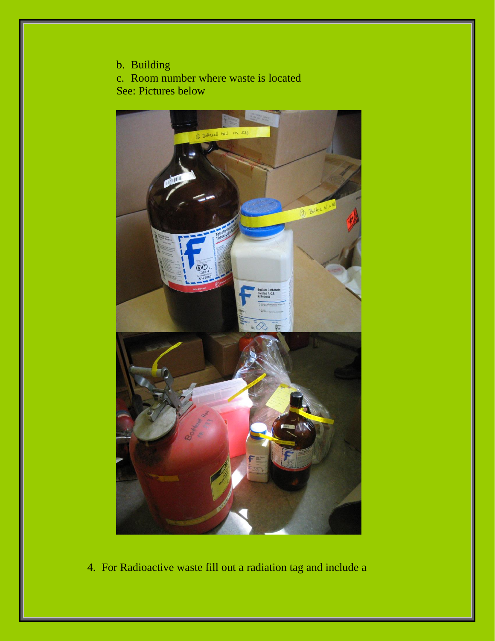b. Building

c. Room number where waste is located See: Pictures below



4. For Radioactive waste fill out a radiation tag and include a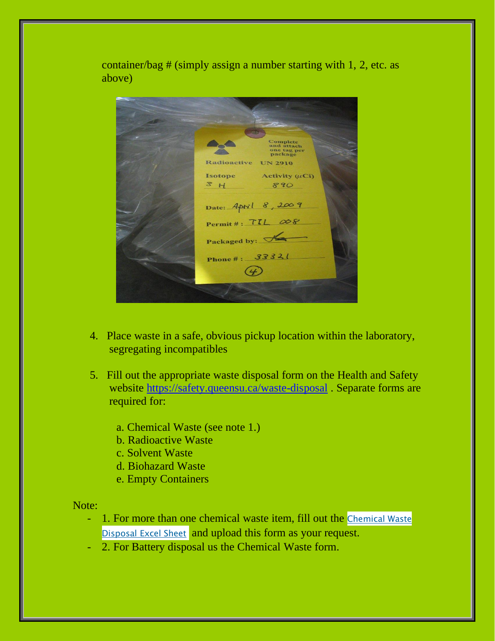container/bag # (simply assign a number starting with 1, 2, etc. as above)

omplete<br>1d attach tag p<br>kage **Radioactive UN 2910** Isotope Activity  $(uCi)$  $3H$ 890 Date: April 8, 2009 Permit#:  $TIL \omega8$ Packaged by: Phone #: 33321  $(4)$ 

- 4. Place waste in a safe, obvious pickup location within the laboratory, segregating incompatibles
- 5. Fill out the appropriate waste disposal form on the Health and Safety website<https://safety.queensu.ca/waste-disposal> . Separate forms are required for:
	- a. Chemical Waste (see note 1.)
	- b. Radioactive Waste
	- c. Solvent Waste
	- d. Biohazard Waste
	- e. Empty Containers

Note:

- 1. For more than one chemical waste item, fill out the [Chemical](https://safety.queensu.ca/sites/webpublish.queensu.ca.ehswww/files/files/Waste%20Disposal/Chemical%20Waste%20Disposal(1).xlsx) Waste [Disposal](https://safety.queensu.ca/sites/webpublish.queensu.ca.ehswww/files/files/Waste%20Disposal/Chemical%20Waste%20Disposal(1).xlsx) Excel Sheet and upload this form as your request.
- 2. For Battery disposal us the Chemical Waste form.